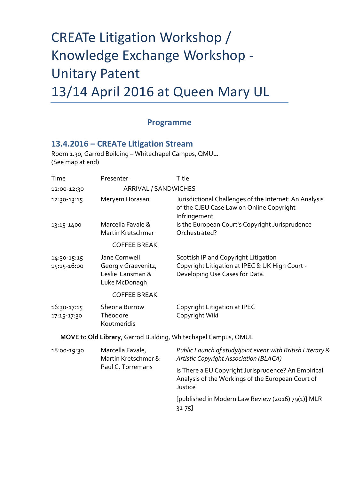## CREATe Litigation Workshop / Knowledge Exchange Workshop - Unitary Patent 13/14 April 2016 at Queen Mary UL

## **Programme**

## **13.4.2016 – CREATe Litigation Stream**

Room 1.30, Garrod Building – Whitechapel Campus, QMUL. (See map at end)

| Time                       | Presenter                                                                 | Title                                                                                                                    |  |
|----------------------------|---------------------------------------------------------------------------|--------------------------------------------------------------------------------------------------------------------------|--|
| 12:00-12:30                | ARRIVAL / SANDWICHES                                                      |                                                                                                                          |  |
| 12:30-13:15                | Meryem Horasan                                                            | Jurisdictional Challenges of the Internet: An Analysis<br>of the CJEU Case Law on Online Copyright<br>Infringement       |  |
| 13:15-1400                 | Marcella Favale &<br>Martin Kretschmer                                    | Is the European Court's Copyright Jurisprudence<br>Orchestrated?                                                         |  |
|                            | <b>COFFEE BREAK</b>                                                       |                                                                                                                          |  |
| 14:30-15:15<br>15:15-16:00 | Jane Cornwell<br>Georg v Graevenitz,<br>Leslie Lansman &<br>Luke McDonagh | Scottish IP and Copyright Litigation<br>Copyright Litigation at IPEC & UK High Court -<br>Developing Use Cases for Data. |  |
|                            | <b>COFFEE BREAK</b>                                                       |                                                                                                                          |  |
| 16:30-17:15<br>17:15-17:30 | Sheona Burrow<br>Theodore<br>Koutmeridis                                  | Copyright Litigation at IPEC<br>Copyright Wiki                                                                           |  |
|                            |                                                                           | MOVE to Old Library, Garrod Building, Whitechapel Campus, QMUL                                                           |  |
| 18:00-19:30                | Marcella Favale,<br>Martin Kretschmer &<br>Paul C. Torremans              | Public Launch of study/joint event with British Literary &<br>Artistic Copyright Association (BLACA)                     |  |
|                            |                                                                           | Is There a EU Copyright Jurisprudence? An Empirical<br>Analysis of the Workings of the European Court of<br>Justice      |  |
|                            |                                                                           | [published in Modern Law Review (2016) 79(1)] MLR<br>31-75]                                                              |  |